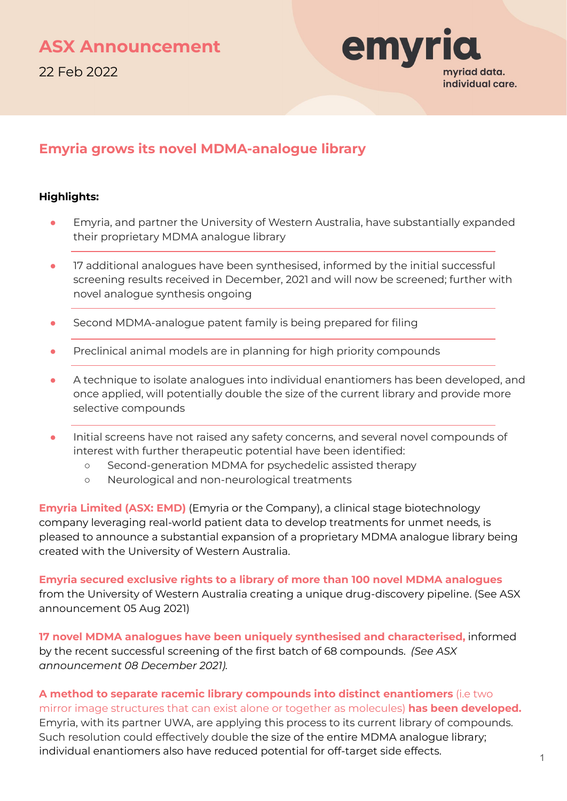

# **Emyria grows its novel MDMA-analogue library**

# **Highlights:**

- Emyria, and partner the University of Western Australia, have substantially expanded their proprietary MDMA analogue library
- 17 additional analogues have been synthesised, informed by the initial successful screening results received in December, 2021 and will now be screened; further with novel analogue synthesis ongoing
- Second MDMA-analogue patent family is being prepared for filing
- Preclinical animal models are in planning for high priority compounds
- A technique to isolate analogues into individual enantiomers has been developed, and once applied, will potentially double the size of the current library and provide more selective compounds
- Initial screens have not raised any safety concerns, and several novel compounds of interest with further therapeutic potential have been identified:
	- Second-generation MDMA for psychedelic assisted therapy
	- Neurological and non-neurological treatments

**Emyria Limited (ASX: EMD)** (Emyria or the Company), a clinical stage biotechnology company leveraging real-world patient data to develop treatments for unmet needs, is pleased to announce a substantial expansion of a proprietary MDMA analogue library being created with the University of Western Australia.

**Emyria secured exclusive rights to a library of more than 100 novel MDMA analogues**  from the University of Western Australia creating a unique drug-discovery pipeline. (See ASX announcement 05 Aug 2021)

**17 novel MDMA analogues have been uniquely synthesised and characterised,** informed by the recent successful screening of the first batch of 68 compounds. *(See ASX announcement 08 December 2021).*

**A method to separate racemic library compounds into distinct enantiomers** (i.e two mirror image structures that can exist alone or together as molecules) **has been developed.** Emyria, with its partner UWA, are applying this process to its current library of compounds. Such resolution could effectively double the size of the entire MDMA analogue library; individual enantiomers also have reduced potential for off-target side effects.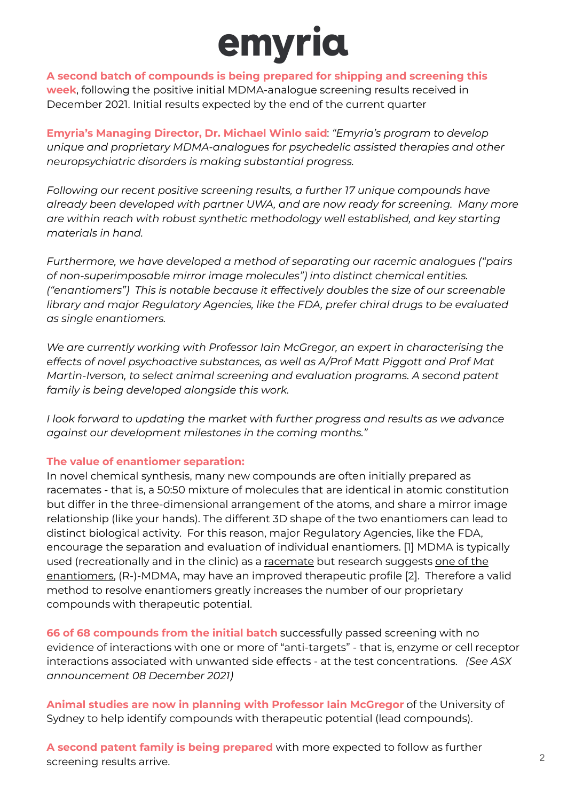

**A second batch of compounds is being prepared for shipping and screening this week**, following the positive initial MDMA-analogue screening results received in December 2021. Initial results expected by the end of the current quarter

**Emyria's Managing Director, Dr. Michael Winlo said**: *"Emyria's program to develop unique and proprietary MDMA-analogues for psychedelic assisted therapies and other neuropsychiatric disorders is making substantial progress.* 

*Following our recent positive screening results, a further 17 unique compounds have already been developed with partner UWA, and are now ready for screening. Many more are within reach with robust synthetic methodology well established, and key starting materials in hand.*

*Furthermore, we have developed a method of separating our racemic analogues ("pairs of non-superimposable mirror image molecules") into distinct chemical entities. ("enantiomers") This is notable because it effectively doubles the size of our screenable library and major Regulatory Agencies, like the FDA, prefer chiral drugs to be evaluated as single enantiomers.*

*We are currently working with Professor Iain McGregor, an expert in characterising the effects of novel psychoactive substances, as well as A/Prof Matt Piggott and Prof Mat Martin-Iverson, to select animal screening and evaluation programs. A second patent family is being developed alongside this work.*

*I look forward to updating the market with further progress and results as we advance against our development milestones in the coming months."*

## **The value of enantiomer separation:**

In novel chemical synthesis, many new compounds are often initially prepared as racemates - that is, a 50:50 mixture of molecules that are identical in atomic constitution but differ in the three-dimensional arrangement of the atoms, and share a mirror image relationship (like your hands). The different 3D shape of the two enantiomers can lead to distinct biological activity. For this reason, major Regulatory Agencies, like the FDA, encourage the separation and evaluation of individual enantiomers. [1] MDMA is typically used (recreationally and in the clinic) as a racemate but research suggests one of the enantiomers, (R-)-MDMA, may have an improved therapeutic profile [2]. Therefore a valid method to resolve enantiomers greatly increases the number of our proprietary compounds with therapeutic potential.

**66 of 68 compounds from the initial batch** successfully passed screening with no evidence of interactions with one or more of "anti-targets" - that is, enzyme or cell receptor interactions associated with unwanted side effects - at the test concentrations. *(See ASX announcement 08 December 2021)*

**Animal studies are now in planning with Professor Iain McGregor** of the University of Sydney to help identify compounds with therapeutic potential (lead compounds).

**A second patent family is being prepared** with more expected to follow as further screening results arrive. 2008. The contract of the contract of the contract of the contract of the contract of the contract of the contract of the contract of the contract of the contract of the contract of the contract o